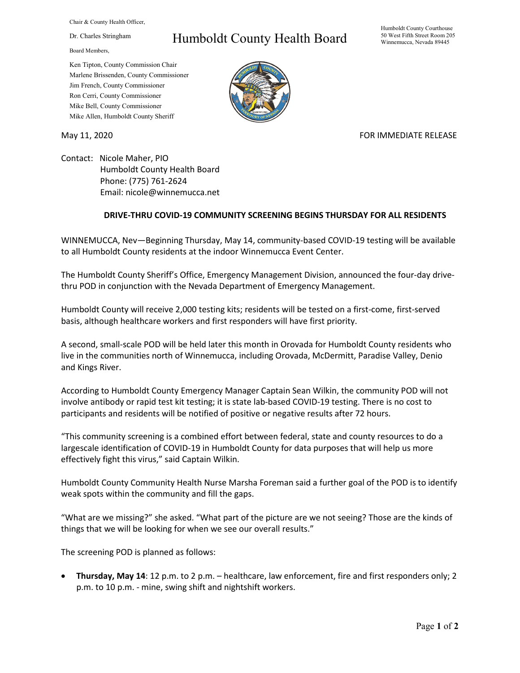Chair & County Health Officer,

Dr. Charles Stringham

Board Members,

## Humboldt County Health Board

Humboldt County Courthouse 50 West Fifth Street Room 205 Winnemucca, Nevada 89445

Ken Tipton, County Commission Chair Marlene Brissenden, County Commissioner Jim French, County Commissioner Ron Cerri, County Commissioner Mike Bell, County Commissioner Mike Allen, Humboldt County Sheriff

May 11, 2020 **FOR IMMEDIATE RELEASE** 

Contact: Nicole Maher, PIO Humboldt County Health Board Phone: (775) 761-2624 Email: nicole@winnemucca.net

## **DRIVE-THRU COVID-19 COMMUNITY SCREENING BEGINS THURSDAY FOR ALL RESIDENTS**

WINNEMUCCA, Nev—Beginning Thursday, May 14, community-based COVID-19 testing will be available to all Humboldt County residents at the indoor Winnemucca Event Center.

The Humboldt County Sheriff's Office, Emergency Management Division, announced the four-day drivethru POD in conjunction with the Nevada Department of Emergency Management.

Humboldt County will receive 2,000 testing kits; residents will be tested on a first-come, first-served basis, although healthcare workers and first responders will have first priority.

A second, small-scale POD will be held later this month in Orovada for Humboldt County residents who live in the communities north of Winnemucca, including Orovada, McDermitt, Paradise Valley, Denio and Kings River.

According to Humboldt County Emergency Manager Captain Sean Wilkin, the community POD will not involve antibody or rapid test kit testing; it is state lab-based COVID-19 testing. There is no cost to participants and residents will be notified of positive or negative results after 72 hours.

"This community screening is a combined effort between federal, state and county resources to do a largescale identification of COVID-19 in Humboldt County for data purposes that will help us more effectively fight this virus," said Captain Wilkin.

Humboldt County Community Health Nurse Marsha Foreman said a further goal of the POD is to identify weak spots within the community and fill the gaps.

"What are we missing?" she asked. "What part of the picture are we not seeing? Those are the kinds of things that we will be looking for when we see our overall results."

The screening POD is planned as follows:

• **Thursday, May 14**: 12 p.m. to 2 p.m. – healthcare, law enforcement, fire and first responders only; 2 p.m. to 10 p.m. - mine, swing shift and nightshift workers.